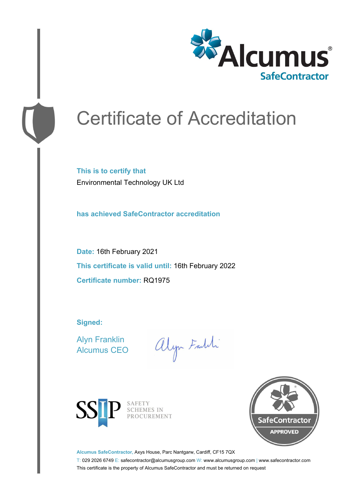

# Certificate of Accreditation

**This is to certify that** Environmental Technology UK Ltd

**has achieved SafeContractor accreditation**

**Date:** 16th February 2021 **This certificate is valid until:** 16th February 2022 **Certificate number:** RQ1975

**Signed:**

Alyn Franklin Alcumus CEO

alyn Faith



SAFETY<br>SCHEMES IN PROCUREMENT



**Alcumus SafeContractor,** Axys House, Parc Nantgarw, Cardiff, CF15 7QX

T: 029 2026 6749 E: safecontractor@alcumusgroup.com W: www.alcumusgroup.com | www.safecontractor.com This certificate is the property of Alcumus SafeContractor and must be returned on request